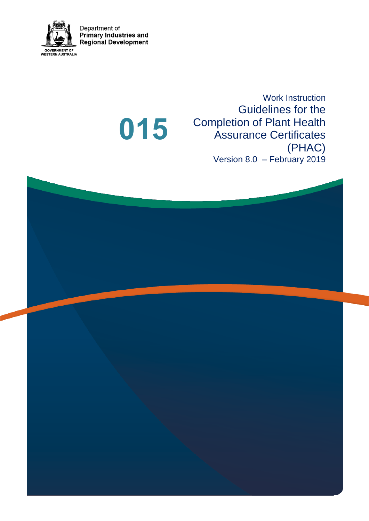

Department of<br>Primary Industries and<br>Regional Development

**015**

Work Instruction Guidelines for the Completion of Plant Health Assurance Certificates (PHAC) Version 8.0 – February 2019

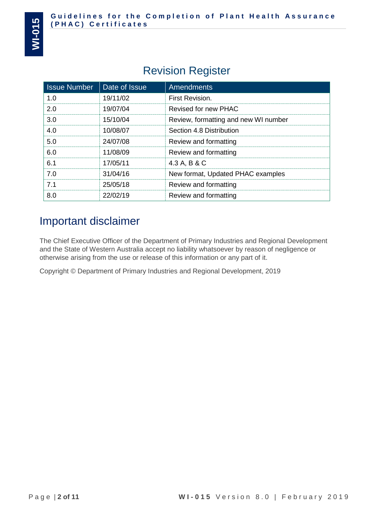## Revision Register

| <b>Issue Number</b> | Date of Issue | <b>Amendments</b>                    |
|---------------------|---------------|--------------------------------------|
| 1.0                 | 19/11/02      | First Revision.                      |
| 2.0                 | 19/07/04      | <b>Revised for new PHAC</b>          |
| 3.0                 | 15/10/04      | Review, formatting and new WI number |
| 4.0                 | 10/08/07      | Section 4.8 Distribution             |
| 5.0                 | 24/07/08      | Review and formatting                |
| 6.0                 | 11/08/09      | Review and formatting                |
| 6.1                 | 17/05/11      | 4.3 A, B & C                         |
| 7.0                 | 31/04/16      | New format, Updated PHAC examples    |
| 7.1                 | 25/05/18      | Review and formatting                |
| 8.0                 | 22/02/19      | Review and formatting                |

## Important disclaimer

The Chief Executive Officer of the Department of Primary Industries and Regional Development and the State of Western Australia accept no liability whatsoever by reason of negligence or otherwise arising from the use or release of this information or any part of it.

Copyright © Department of Primary Industries and Regional Development, 2019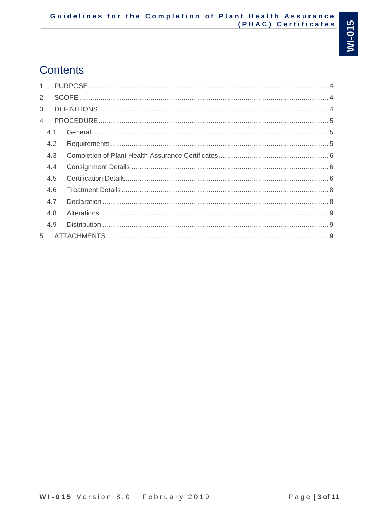# **Contents**

| 1 |     |  |
|---|-----|--|
| 2 |     |  |
| 3 |     |  |
| 4 |     |  |
|   | 4.1 |  |
|   | 4.2 |  |
|   | 4.3 |  |
|   | 4.4 |  |
|   | 4.5 |  |
|   | 4.6 |  |
|   | 4.7 |  |
|   | 4.8 |  |
|   | 4.9 |  |
| 5 |     |  |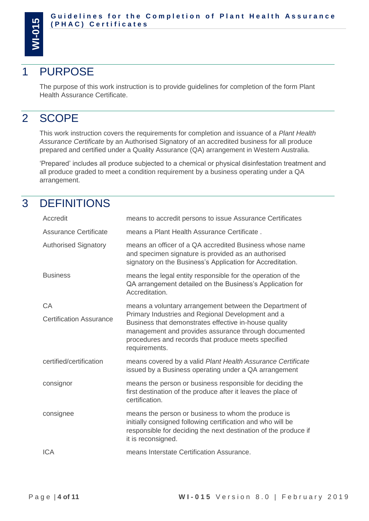

## <span id="page-3-0"></span>1 PURPOSE

The purpose of this work instruction is to provide guidelines for completion of the form Plant Health Assurance Certificate.

## <span id="page-3-1"></span>2 SCOPE

This work instruction covers the requirements for completion and issuance of a *Plant Health Assurance Certificate* by an Authorised Signatory of an accredited business for all produce prepared and certified under a Quality Assurance (QA) arrangement in Western Australia.

'Prepared' includes all produce subjected to a chemical or physical disinfestation treatment and all produce graded to meet a condition requirement by a business operating under a QA arrangement.

## <span id="page-3-2"></span>3 DEFINITIONS

| Accredit                       | means to accredit persons to issue Assurance Certificates                                                                                                                                                                                  |
|--------------------------------|--------------------------------------------------------------------------------------------------------------------------------------------------------------------------------------------------------------------------------------------|
| <b>Assurance Certificate</b>   | means a Plant Health Assurance Certificate.                                                                                                                                                                                                |
| <b>Authorised Signatory</b>    | means an officer of a QA accredited Business whose name<br>and specimen signature is provided as an authorised<br>signatory on the Business's Application for Accreditation.                                                               |
| <b>Business</b>                | means the legal entity responsible for the operation of the<br>QA arrangement detailed on the Business's Application for<br>Accreditation.                                                                                                 |
| CA                             | means a voluntary arrangement between the Department of                                                                                                                                                                                    |
| <b>Certification Assurance</b> | Primary Industries and Regional Development and a<br>Business that demonstrates effective in-house quality<br>management and provides assurance through documented<br>procedures and records that produce meets specified<br>requirements. |
| certified/certification        | means covered by a valid Plant Health Assurance Certificate<br>issued by a Business operating under a QA arrangement                                                                                                                       |
| consignor                      | means the person or business responsible for deciding the<br>first destination of the produce after it leaves the place of<br>certification.                                                                                               |
| consignee                      | means the person or business to whom the produce is<br>initially consigned following certification and who will be<br>responsible for deciding the next destination of the produce if<br>it is reconsigned.                                |
| <b>ICA</b>                     | means Interstate Certification Assurance.                                                                                                                                                                                                  |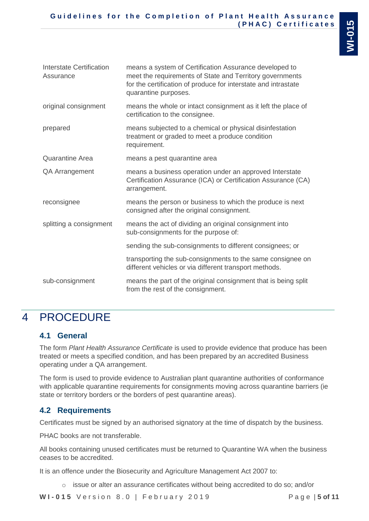| Interstate Certification<br>Assurance | means a system of Certification Assurance developed to<br>meet the requirements of State and Territory governments<br>for the certification of produce for interstate and intrastate<br>quarantine purposes. |
|---------------------------------------|--------------------------------------------------------------------------------------------------------------------------------------------------------------------------------------------------------------|
| original consignment                  | means the whole or intact consignment as it left the place of<br>certification to the consignee.                                                                                                             |
| prepared                              | means subjected to a chemical or physical disinfestation<br>treatment or graded to meet a produce condition<br>requirement.                                                                                  |
| <b>Quarantine Area</b>                | means a pest quarantine area                                                                                                                                                                                 |
| QA Arrangement                        | means a business operation under an approved Interstate<br>Certification Assurance (ICA) or Certification Assurance (CA)<br>arrangement.                                                                     |
| reconsignee                           | means the person or business to which the produce is next<br>consigned after the original consignment.                                                                                                       |
| splitting a consignment               | means the act of dividing an original consignment into<br>sub-consignments for the purpose of:                                                                                                               |
|                                       | sending the sub-consignments to different consignees; or                                                                                                                                                     |

transporting the sub-consignments to the same consignee on different vehicles or via different transport methods. sub-consignment means the part of the original consignment that is being split

# <span id="page-4-0"></span>from the rest of the consignment.

## 4 PROCEDURE

## <span id="page-4-1"></span>**4.1 General**

The form *Plant Health Assurance Certificate* is used to provide evidence that produce has been treated or meets a specified condition, and has been prepared by an accredited Business operating under a QA arrangement.

The form is used to provide evidence to Australian plant quarantine authorities of conformance with applicable quarantine requirements for consignments moving across quarantine barriers (ie state or territory borders or the borders of pest quarantine areas).

## <span id="page-4-2"></span>**4.2 Requirements**

Certificates must be signed by an authorised signatory at the time of dispatch by the business.

PHAC books are not transferable.

All books containing unused certificates must be returned to Quarantine WA when the business ceases to be accredited.

It is an offence under the Biosecurity and Agriculture Management Act 2007 to:

o issue or alter an assurance certificates without being accredited to do so; and/or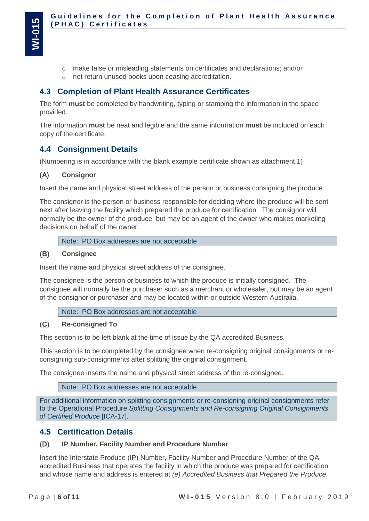- o make false or misleading statements on certificates and declarations; and/or
- o not return unused books upon ceasing accreditation.

### <span id="page-5-0"></span>**4.3 Completion of Plant Health Assurance Certificates**

The form **must** be completed by handwriting, typing or stamping the information in the space provided.

The information **must** be neat and legible and the same information **must** be included on each copy of the certificate.

### <span id="page-5-1"></span>**4.4 Consignment Details**

(Numbering is in accordance with the blank example certificate shown as attachment 1)

#### $(A)$ **Consignor**

Insert the name and physical street address of the person or business consigning the produce.

The consignor is the person or business responsible for deciding where the produce will be sent next after leaving the facility which prepared the produce for certification. The consignor will normally be the owner of the produce, but may be an agent of the owner who makes marketing decisions on behalf of the owner.

Note: PO Box addresses are not acceptable

#### $(B)$ **Consignee**

Insert the name and physical street address of the consignee.

The consignee is the person or business to which the produce is initially consigned. The consignee will normally be the purchaser such as a merchant or wholesaler, but may be an agent of the consignor or purchaser and may be located within or outside Western Australia.

Note: PO Box addresses are not acceptable

#### $(C)$ **Re-consigned To**

This section is to be left blank at the time of issue by the QA accredited Business.

This section is to be completed by the consignee when re-consigning original consignments or reconsigning sub-consignments after splitting the original consignment.

The consignee inserts the name and physical street address of the re-consignee.

Note: PO Box addresses are not acceptable

For additional information on splitting consignments or re-consigning original consignments refer to the Operational Procedure *Splitting Consignments and Re-consigning Original Consignments of Certified Produce* [ICA-17].

### <span id="page-5-2"></span>**4.5 Certification Details**

#### **IP Number, Facility Number and Procedure Number**  $(D)$

Insert the Interstate Produce (IP) Number, Facility Number and Procedure Number of the QA accredited Business that operates the facility in which the produce was prepared for certification and whose name and address is entered at *(e) Accredited Business that Prepared the Produce*.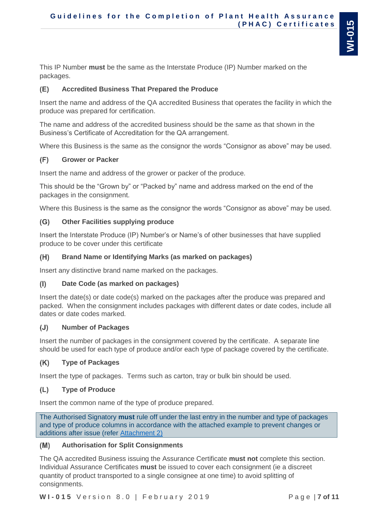**Guidelines for the Completion of Plant Health Assurance ( P H A C ) C e r t i f i c a t e s**

This IP Number **must** be the same as the Interstate Produce (IP) Number marked on the packages.

#### **Accredited Business That Prepared the Produce** (E)

Insert the name and address of the QA accredited Business that operates the facility in which the produce was prepared for certification.

The name and address of the accredited business should be the same as that shown in the Business's Certificate of Accreditation for the QA arrangement.

Where this Business is the same as the consignor the words "Consignor as above" may be used.

#### $(F)$ **Grower or Packer**

Insert the name and address of the grower or packer of the produce.

This should be the "Grown by" or "Packed by" name and address marked on the end of the packages in the consignment.

Where this Business is the same as the consignor the words "Consignor as above" may be used.

#### $(G)$ **Other Facilities supplying produce**

Insert the Interstate Produce (IP) Number's or Name's of other businesses that have supplied produce to be cover under this certificate

#### $(H)$ **Brand Name or Identifying Marks (as marked on packages)**

Insert any distinctive brand name marked on the packages.

#### $(1)$ **Date Code (as marked on packages)**

Insert the date(s) or date code(s) marked on the packages after the produce was prepared and packed. When the consignment includes packages with different dates or date codes, include all dates or date codes marked.

#### **Number of Packages**  $(J)$

Insert the number of packages in the consignment covered by the certificate. A separate line should be used for each type of produce and/or each type of package covered by the certificate.

#### $(K)$ **Type of Packages**

Insert the type of packages. Terms such as carton, tray or bulk bin should be used.

#### $(L)$ **Type of Produce**

Insert the common name of the type of produce prepared.

The Authorised Signatory **must** rule off under the last entry in the number and type of packages and type of produce columns in accordance with the attached example to prevent changes or additions after issue (refer Attachment 2)

#### $(M)$ **Authorisation for Split Consignments**

The QA accredited Business issuing the Assurance Certificate **must not** complete this section. Individual Assurance Certificates **must** be issued to cover each consignment (ie a discreet quantity of product transported to a single consignee at one time) to avoid splitting of consignments.

**W I - 0 1 5** V e r s i o n 8 . 0 | F e b r u a r y 2 0 1 9 P a g e | **7 of 11**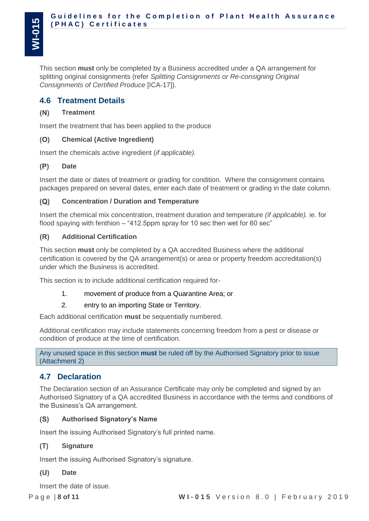This section **must** only be completed by a Business accredited under a QA arrangement for splitting original consignments (refer *Splitting Consignments or Re-consigning Original Consignments of Certified Produce* [ICA-17]).

### <span id="page-7-0"></span>**4.6 Treatment Details**

#### $(N)$ **Treatment**

Insert the treatment that has been applied to the produce

#### $(O)$ **Chemical (Active Ingredient)**

Insert the chemicals active ingredient (*if applicable).*

#### $(P)$ **Date**

Insert the date or dates of treatment or grading for condition. Where the consignment contains packages prepared on several dates, enter each date of treatment or grading in the date column.

#### $(Q)$ **Concentration / Duration and Temperature**

Insert the chemical mix concentration, treatment duration and temperature *(if applicable).* ie. for flood spaying with fenthion – "412.5ppm spray for 10 sec then wet for 60 sec"

#### **Additional Certification**  $(R)$

This section **must** only be completed by a QA accredited Business where the additional certification is covered by the QA arrangement(s) or area or property freedom accreditation(s) under which the Business is accredited.

This section is to include additional certification required for-

- 1. movement of produce from a Quarantine Area; or
- 2. entry to an importing State or Territory.

Each additional certification **must** be sequentially numbered.

Additional certification may include statements concerning freedom from a pest or disease or condition of produce at the time of certification.

Any unused space in this section **must** be ruled off by the Authorised Signatory prior to issue (Attachment 2)

### <span id="page-7-1"></span>**4.7 Declaration**

The Declaration section of an Assurance Certificate may only be completed and signed by an Authorised Signatory of a QA accredited Business in accordance with the terms and conditions of the Business's QA arrangement.

#### **Authorised Signatory's Name**  $(S)$

Insert the issuing Authorised Signatory's full printed name.

#### $(T)$ **Signature**

Insert the issuing Authorised Signatory's signature.

#### $(U)$ **Date**

Insert the date of issue.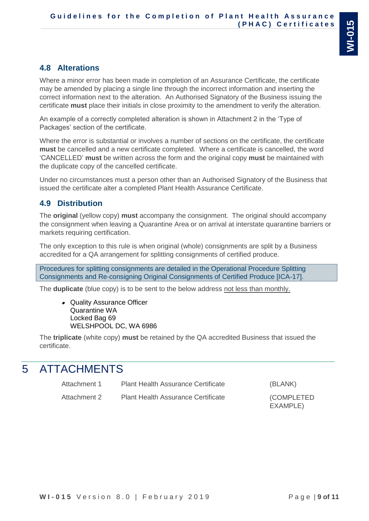### <span id="page-8-0"></span>**4.8 Alterations**

Where a minor error has been made in completion of an Assurance Certificate, the certificate may be amended by placing a single line through the incorrect information and inserting the correct information next to the alteration. An Authorised Signatory of the Business issuing the certificate **must** place their initials in close proximity to the amendment to verify the alteration.

An example of a correctly completed alteration is shown in Attachment 2 in the 'Type of Packages' section of the certificate.

Where the error is substantial or involves a number of sections on the certificate, the certificate **must** be cancelled and a new certificate completed. Where a certificate is cancelled, the word 'CANCELLED' **must** be written across the form and the original copy **must** be maintained with the duplicate copy of the cancelled certificate.

Under no circumstances must a person other than an Authorised Signatory of the Business that issued the certificate alter a completed Plant Health Assurance Certificate.

### <span id="page-8-1"></span>**4.9 Distribution**

The **original** (yellow copy) **must** accompany the consignment. The original should accompany the consignment when leaving a Quarantine Area or on arrival at interstate quarantine barriers or markets requiring certification.

The only exception to this rule is when original (whole) consignments are split by a Business accredited for a QA arrangement for splitting consignments of certified produce.

Procedures for splitting consignments are detailed in the Operational Procedure Splitting Consignments and Re-consigning Original Consignments of Certified Produce [ICA-17].

The **duplicate** (blue copy) is to be sent to the below address not less than monthly.

• Quality Assurance Officer Quarantine WA Locked Bag 69 WELSHPOOL DC, WA 6986

The **triplicate** (white copy) **must** be retained by the QA accredited Business that issued the certificate.

## <span id="page-8-2"></span>5 ATTACHMENTS

| Attachment 1 | <b>Plant Health Assurance Certificate</b> | (BLANK)                |
|--------------|-------------------------------------------|------------------------|
| Attachment 2 | <b>Plant Health Assurance Certificate</b> | (COMPLETED<br>EXAMPLE) |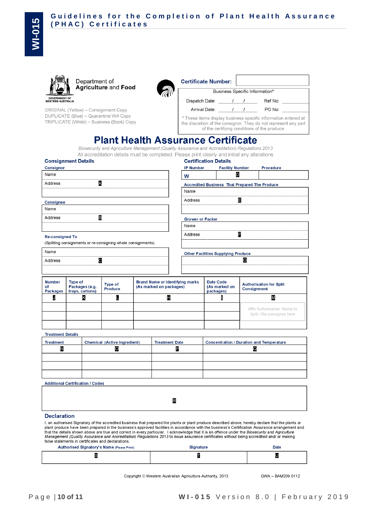|                                                  | Department of<br><b>Agriculture and Food</b> |
|--------------------------------------------------|----------------------------------------------|
| <b>GOVERNMENT OF</b><br><b>WESTERN AUSTRALIA</b> |                                              |

ORIGINAL (Yellow) - Consignment Copy DUPLICATE (Blue) - Quarantine WA Copy TRIPLICATE (White) - Business (Book) Copy

| <b>Certificate Number:</b>                                                                                                                                                        |  |                                |  |
|-----------------------------------------------------------------------------------------------------------------------------------------------------------------------------------|--|--------------------------------|--|
|                                                                                                                                                                                   |  | Business Specific Information* |  |
| Dispatch Date:                                                                                                                                                                    |  | Ref No:                        |  |
| Arrival Date:                                                                                                                                                                     |  | PO No:                         |  |
| * These items display business specific information entered at<br>the discretion of the consignor. They do not represent any part<br>of the certifying conditions of the produce. |  |                                |  |

## **Plant Health Assurance Certificate**

Biosecurity and Agriculture Management (Quality Assurance and Accreditation) Regulations 2013

All accreditation details must be completed. Please print clearly and initial any alterations

| <b>Consignment Details</b>                                    | <b>Certification Details</b> |                                               |           |
|---------------------------------------------------------------|------------------------------|-----------------------------------------------|-----------|
| Consignor                                                     | <b>IP Number</b>             | <b>Facility Number</b>                        | Procedure |
| Name                                                          | w                            | D                                             |           |
| A<br>Address                                                  |                              | Accredited Business That Prepared The Produce |           |
|                                                               | Name                         |                                               |           |
| Consignee                                                     | Address                      | E                                             |           |
| Name                                                          |                              |                                               |           |
| B<br>Address                                                  | <b>Grower or Packer</b>      |                                               |           |
|                                                               | Name                         |                                               |           |
| <b>Re-consigned To</b>                                        | Address                      | F                                             |           |
| (Splitting consignments or re-consigning whole consignments). |                              |                                               |           |
| Name                                                          |                              | <b>Other Facilities Supplying Produce</b>     |           |
| C<br>Address                                                  |                              | G                                             |           |
|                                                               |                              |                                               |           |

| <b>Number</b><br>οf<br>Packages | Type of<br>Packages (e.g.<br>trays, cartons) | Type of<br>Produce | Brand Name or identifying marks<br>(As marked on packages) | Date Code<br>(As marked on<br>packages) | <b>Authorisation for Split</b><br><b>Consignment</b>      |
|---------------------------------|----------------------------------------------|--------------------|------------------------------------------------------------|-----------------------------------------|-----------------------------------------------------------|
| м                               |                                              |                    |                                                            |                                         |                                                           |
|                                 |                                              |                    |                                                            |                                         | Affix Authorisation Stamp to<br>Split / Re-consignee here |
|                                 |                                              |                    |                                                            |                                         |                                                           |

**Treatment Details** 

| <b>Treatment</b> | Chemical (Active Ingredient) | <b>Treatment Date</b> | Concentration / Duration and Temperature |
|------------------|------------------------------|-----------------------|------------------------------------------|
| N                | $\overline{\phantom{0}}$     | ю                     |                                          |
|                  |                              |                       |                                          |
|                  |                              |                       |                                          |
|                  |                              |                       |                                          |

**Additional Certification / Codes** 

R

**Declaration** 

I, an authorised Signatory of the accredited business that prepared the plants or plant produce described above, hereby declare that the plants or plant produce have been prepared in the business's approved facilities in accordance with the business's Certification Assurance arrangement and that the details shown above are true and correct in every particular. I acknowledge that it is an offence under the Biosecurity and Agriculture<br>Management (Quality Assurance and Accreditation) Regulations 2013 to issue as false statements in certificates and declarations.

| Authorised Signatory's Name (Please Print) | Signature | Date |  |
|--------------------------------------------|-----------|------|--|
|                                            |           | U    |  |

Copyright © Western Australian Agriculture Authority, 2013

QWA - BAM209 0112